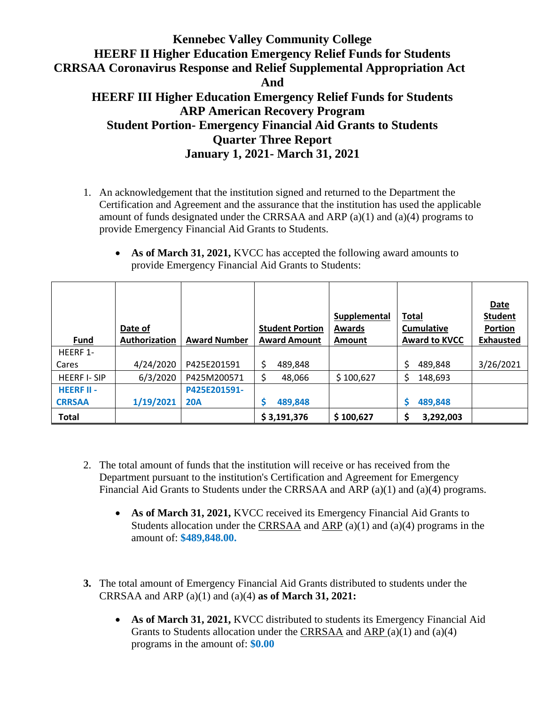1. An acknowledgement that the institution signed and returned to the Department the Certification and Agreement and the assurance that the institution has used the applicable amount of funds designated under the CRRSAA and ARP  $(a)(1)$  and  $(a)(4)$  programs to provide Emergency Financial Aid Grants to Students.

|                    | Date of       |                     | <b>Student Portion</b> | Supplemental<br><b>Awards</b> | <b>Total</b><br>Cumulative | <b>Date</b><br><b>Student</b><br><b>Portion</b> |
|--------------------|---------------|---------------------|------------------------|-------------------------------|----------------------------|-------------------------------------------------|
| Fund               | Authorization | <b>Award Number</b> | <b>Award Amount</b>    | Amount                        | <b>Award to KVCC</b>       | <b>Exhausted</b>                                |
| HEERF 1-           |               |                     |                        |                               |                            |                                                 |
| Cares              | 4/24/2020     | P425E201591         | \$<br>489,848          |                               | 489,848                    | 3/26/2021                                       |
| <b>HEERF I-SIP</b> | 6/3/2020      | P425M200571         | 48,066                 | \$100,627                     | 148,693                    |                                                 |
| <b>HEERF II -</b>  |               | P425E201591-        |                        |                               |                            |                                                 |
| <b>CRRSAA</b>      | 1/19/2021     | <b>20A</b>          | 489,848                |                               | 489,848                    |                                                 |
| <b>Total</b>       |               |                     | \$3,191,376            | \$100,627                     | 3,292,003                  |                                                 |

• **As of March 31, 2021, KVCC** has accepted the following award amounts to provide Emergency Financial Aid Grants to Students:

- 2. The total amount of funds that the institution will receive or has received from the Department pursuant to the institution's Certification and Agreement for Emergency Financial Aid Grants to Students under the CRRSAA and ARP (a)(1) and (a)(4) programs.
	- **As of March 31, 2021,** KVCC received its Emergency Financial Aid Grants to Students allocation under the CRRSAA and ARP (a)(1) and (a)(4) programs in the amount of: **\$489,848.00.**
- **3.** The total amount of Emergency Financial Aid Grants distributed to students under the CRRSAA and ARP (a)(1) and (a)(4) **as of March 31, 2021:**
	- As of March 31, 2021, KVCC distributed to students its Emergency Financial Aid Grants to Students allocation under the CRRSAA and ARP (a)(1) and (a)(4) programs in the amount of: **\$0.00**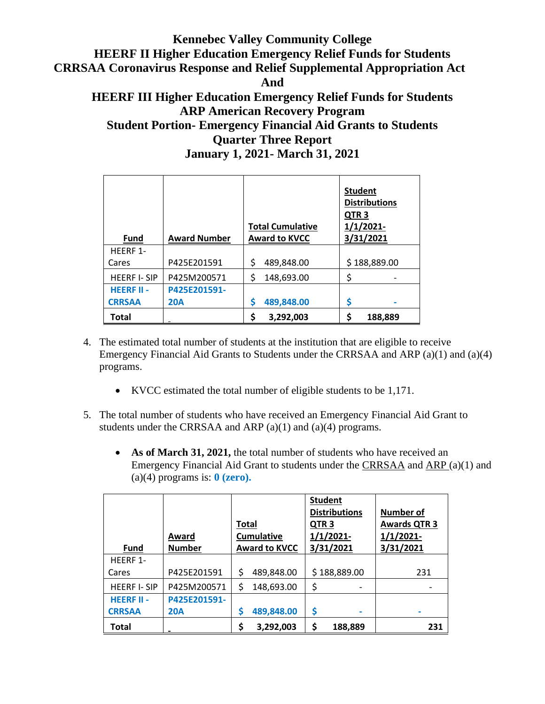| <b>Award Number</b><br>Fund |              | <b>Total Cumulative</b><br><b>Award to KVCC</b> | <b>Student</b><br><b>Distributions</b><br>QTR <sub>3</sub><br>$1/1/2021-$<br>3/31/2021 |  |
|-----------------------------|--------------|-------------------------------------------------|----------------------------------------------------------------------------------------|--|
| HEERF 1-                    |              |                                                 |                                                                                        |  |
| Cares                       | P425E201591  | \$<br>489,848.00                                | \$188,889.00                                                                           |  |
| <b>HEERF I-SIP</b>          | P425M200571  | \$<br>148,693.00                                | \$                                                                                     |  |
| <b>HEERF II -</b>           | P425E201591- |                                                 |                                                                                        |  |
| <b>CRRSAA</b>               | <b>20A</b>   | \$<br>489,848.00                                | \$<br>-                                                                                |  |
| <b>Total</b>                |              | \$<br>3,292,003                                 | \$<br>188,889                                                                          |  |

- 4. The estimated total number of students at the institution that are eligible to receive Emergency Financial Aid Grants to Students under the CRRSAA and ARP (a)(1) and (a)(4) programs.
	- KVCC estimated the total number of eligible students to be 1,171.
- 5. The total number of students who have received an Emergency Financial Aid Grant to students under the CRRSAA and ARP (a)(1) and (a)(4) programs.
	- **As of March 31, 2021,** the total number of students who have received an Emergency Financial Aid Grant to students under the CRRSAA and ARP (a)(1) and (a)(4) programs is: **0 (zero).**

| <b>Fund</b>        | Award<br><b>Number</b> | Total | <b>Cumulative</b><br><b>Award to KVCC</b> | QTR <sub>3</sub> | <b>Student</b><br><b>Distributions</b><br>$1/1/2021$ -<br>3/31/2021 | <b>Number of</b><br><b>Awards QTR 3</b><br>$1/1/2021$ -<br>3/31/2021 |
|--------------------|------------------------|-------|-------------------------------------------|------------------|---------------------------------------------------------------------|----------------------------------------------------------------------|
| HFFRF 1-           |                        |       |                                           |                  |                                                                     |                                                                      |
| Cares              | P425E201591            | \$    | 489,848.00                                |                  | \$188,889.00                                                        | 231                                                                  |
| <b>HEERF I-SIP</b> | P425M200571            | \$    | 148,693.00                                | \$               |                                                                     |                                                                      |
| <b>HEERF II -</b>  | P425E201591-           |       |                                           |                  |                                                                     |                                                                      |
| <b>CRRSAA</b>      | <b>20A</b>             | S     | 489,848.00                                | \$               |                                                                     |                                                                      |
| <b>Total</b>       |                        | \$    | 3,292,003                                 | \$               | 188,889                                                             | 231                                                                  |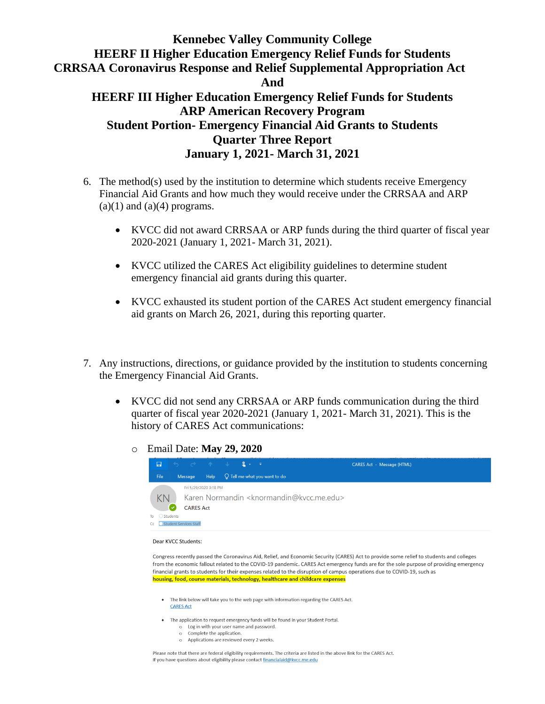- 6. The method(s) used by the institution to determine which students receive Emergency Financial Aid Grants and how much they would receive under the CRRSAA and ARP  $(a)(1)$  and  $(a)(4)$  programs.
	- KVCC did not award CRRSAA or ARP funds during the third quarter of fiscal year 2020-2021 (January 1, 2021- March 31, 2021).
	- KVCC utilized the CARES Act eligibility guidelines to determine student emergency financial aid grants during this quarter.
	- KVCC exhausted its student portion of the CARES Act student emergency financial aid grants on March 26, 2021, during this reporting quarter.
- 7. Any instructions, directions, or guidance provided by the institution to students concerning the Emergency Financial Aid Grants.
	- KVCC did not send any CRRSAA or ARP funds communication during the third quarter of fiscal year 2020-2021 (January 1, 2021- March 31, 2021). This is the history of CARES Act communications:
		- o Email Date: **May 29, 2020**



#### Dear KVCC Students:

Congress recently passed the Coronavirus Aid, Relief, and Economic Security (CARES) Act to provide some relief to students and colleges from the economic fallout related to the COVID-19 pandemic. CARES Act emergency funds are for the sole purpose of providing emergency financial grants to students for their expenses related to the disruption of campus operations due to COVID-19, such as housing, food, course materials, technology, healthcare and childcare expenses

- . The link below will take you to the web page with information regarding the CARES Act. **CARES Act**
- The application to request emergency funds will be found in your Student Portal.
	- o Log in with your user name and password.
	- o Complete the application.
	- o Applications are reviewed every 2 weeks.

Please note that there are federal eligibility requirements. The criteria are listed in the above link for the CARES Act. If you have questions about eligibility please contact financialaid@kvcc.me.edu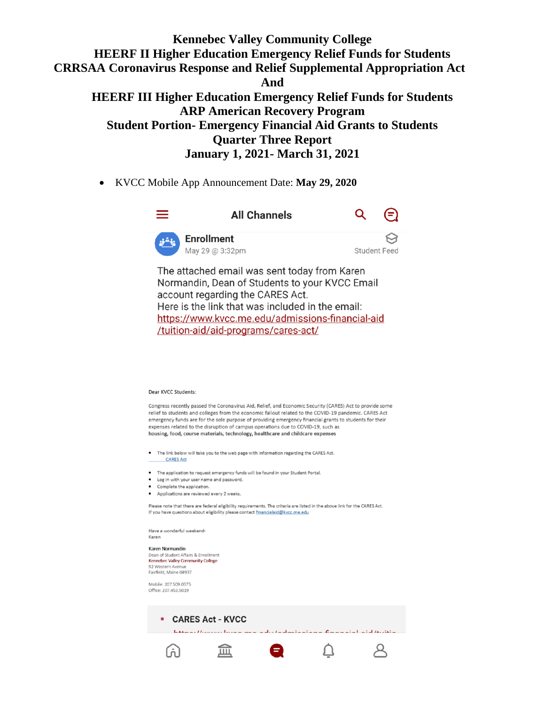• KVCC Mobile App Announcement Date: **May 29, 2020**



The attached email was sent today from Karen Normandin, Dean of Students to your KVCC Email account regarding the CARES Act. Here is the link that was included in the email: https://www.kvcc.me.edu/admissions-financial-aid /tuition-aid/aid-programs/cares-act/

#### Dear KVCC Students:

Congress recently passed the Coronavirus Aid, Relief, and Economic Security (CARES) Act to provide some relief to students and colleges from the economic fallout related to the COVID-19 pandemic. CARES Act emergency funds are for the sole purpose of providing emergency financial grants to students for their expenses related to the disruption of campus operations due to COVID-19, such as housing, food, course materials, technology, healthcare and childcare expenses

- The link below will take you to the web page with information regarding the CARES Act **CARES Act**
- The application to request emergency funds will be found in your Student Portal.
- Log in with your user name and password.
- Complete the application. • Applications are reviewed every 2 weeks.

Please note that there are federal eligibility requirements. The criteria are listed in the above link for the CARES Act. If you have questions about eligibility please contact financialaid@kvcc.me.edu

Have a wonderful weekend-Karen

Karen Normandin Dean of Student Affairs & Enrollment Kennebec Valley Community College 92 Western Avenue Fairfield, Maine 04937

Mobile: 207.509.0575 Office: 207.453.5019

(ñ)

**E** CARES Act - KVCC Internal Homeon Income was a shorta shortaning for a matalliated technic

 $\beta$ 

 $\Box$ 

盒 ●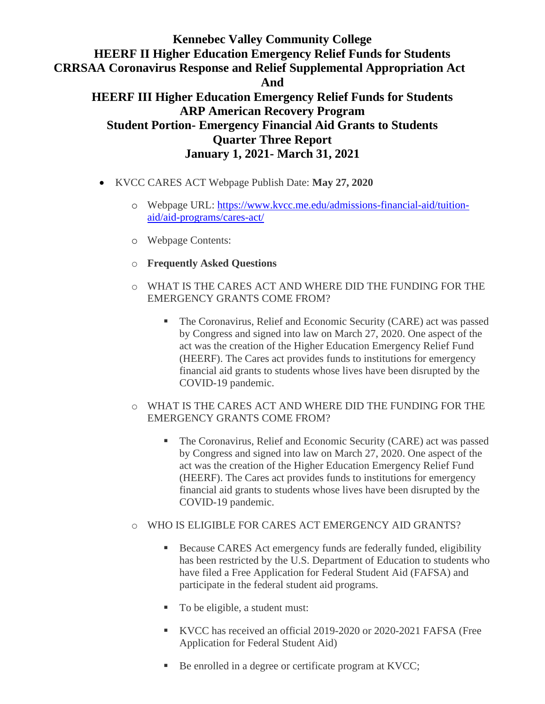- KVCC CARES ACT Webpage Publish Date: **May 27, 2020**
	- o Webpage URL: [https://www.kvcc.me.edu/admissions-financial-aid/tuition](https://www.kvcc.me.edu/admissions-financial-aid/tuition-aid/aid-programs/cares-act/)[aid/aid-programs/cares-act/](https://www.kvcc.me.edu/admissions-financial-aid/tuition-aid/aid-programs/cares-act/)
	- o Webpage Contents:
	- o **Frequently Asked Questions**
	- o WHAT IS THE CARES ACT AND WHERE DID THE FUNDING FOR THE EMERGENCY GRANTS COME FROM?
		- The Coronavirus, Relief and Economic Security (CARE) act was passed by Congress and signed into law on March 27, 2020. One aspect of the act was the creation of the Higher Education Emergency Relief Fund (HEERF). The Cares act provides funds to institutions for emergency financial aid grants to students whose lives have been disrupted by the COVID-19 pandemic.
	- o WHAT IS THE CARES ACT AND WHERE DID THE FUNDING FOR THE EMERGENCY GRANTS COME FROM?
		- The Coronavirus, Relief and Economic Security (CARE) act was passed by Congress and signed into law on March 27, 2020. One aspect of the act was the creation of the Higher Education Emergency Relief Fund (HEERF). The Cares act provides funds to institutions for emergency financial aid grants to students whose lives have been disrupted by the COVID-19 pandemic.
	- o WHO IS ELIGIBLE FOR CARES ACT EMERGENCY AID GRANTS?
		- Because CARES Act emergency funds are federally funded, eligibility has been restricted by the U.S. Department of Education to students who have filed a Free Application for Federal Student Aid (FAFSA) and participate in the federal student aid programs.
		- To be eligible, a student must:
		- KVCC has received an official 2019-2020 or 2020-2021 FAFSA (Free Application for Federal Student Aid)
		- Be enrolled in a degree or certificate program at KVCC;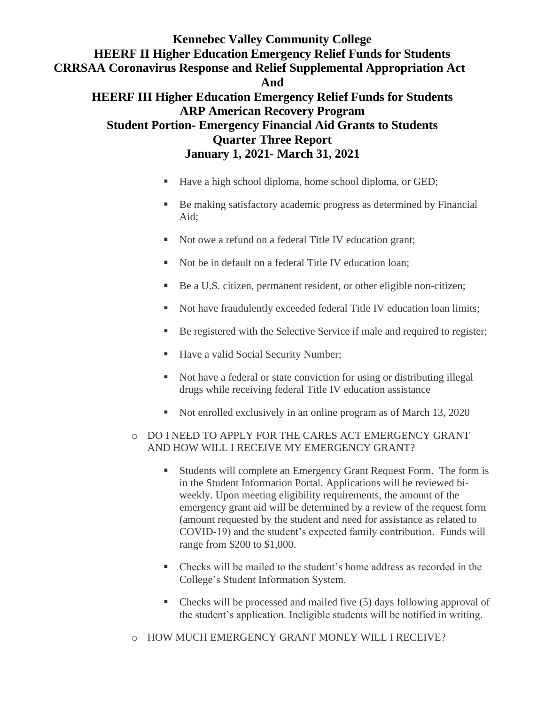- Have a high school diploma, home school diploma, or GED;
- Be making satisfactory academic progress as determined by Financial Aid;
- Not owe a refund on a federal Title IV education grant;
- Not be in default on a federal Title IV education loan:
- Be a U.S. citizen, permanent resident, or other eligible non-citizen;
- Not have fraudulently exceeded federal Title IV education loan limits;
- Be registered with the Selective Service if male and required to register;
- Have a valid Social Security Number;
- Not have a federal or state conviction for using or distributing illegal drugs while receiving federal Title IV education assistance
- Not enrolled exclusively in an online program as of March 13, 2020

#### o DO I NEED TO APPLY FOR THE CARES ACT EMERGENCY GRANT AND HOW WILL I RECEIVE MY EMERGENCY GRANT?

- Students will complete an Emergency Grant Request Form. The form is in the [Student Information Portal.](http://my.kvcc.me.edu/) Applications will be reviewed biweekly. Upon meeting eligibility requirements, the amount of the emergency grant aid will be determined by a review of the request form (amount requested by the student and need for assistance as related to COVID-19) and the student's expected family contribution. Funds will range from \$200 to \$1,000.
- Checks will be mailed to the student's home address as recorded in the College's Student Information System.
- Checks will be processed and mailed five (5) days following approval of the student's application. Ineligible students will be notified in writing.
- o HOW MUCH EMERGENCY GRANT MONEY WILL I RECEIVE?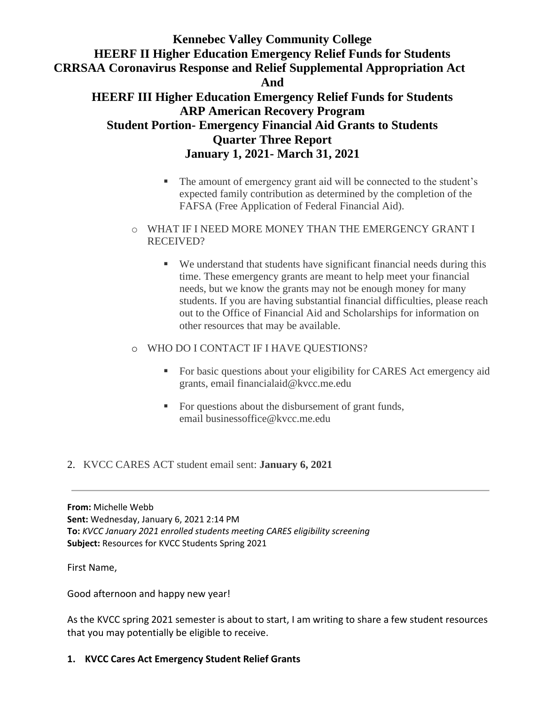- The amount of emergency grant aid will be connected to the student's expected family contribution as determined by the completion of the FAFSA (Free Application of Federal Financial Aid).
- o WHAT IF I NEED MORE MONEY THAN THE EMERGENCY GRANT I RECEIVED?
	- We understand that students have significant financial needs during this time. These emergency grants are meant to help meet your financial needs, but we know the grants may not be enough money for many students. If you are having substantial financial difficulties, please reach out to the Office of Financial Aid and Scholarships for information on other resources that may be available.

#### o WHO DO I CONTACT IF I HAVE QUESTIONS?

- For basic questions about your eligibility for CARES Act emergency aid grants, email [financialaid@kvcc.me.edu](mailto:financialaid@kvcc.me.edu)
- For questions about the disbursement of grant funds, email [businessoffice@kvcc.me.edu](mailto:businessoffice@kvcc.me.edu)

#### 2. KVCC CARES ACT student email sent: **January 6, 2021**

**From:** Michelle Webb **Sent:** Wednesday, January 6, 2021 2:14 PM **To:** *KVCC January 2021 enrolled students meeting CARES eligibility screening* **Subject:** Resources for KVCC Students Spring 2021

First Name,

Good afternoon and happy new year!

As the KVCC spring 2021 semester is about to start, I am writing to share a few student resources that you may potentially be eligible to receive.

### **1. KVCC Cares Act Emergency Student Relief Grants**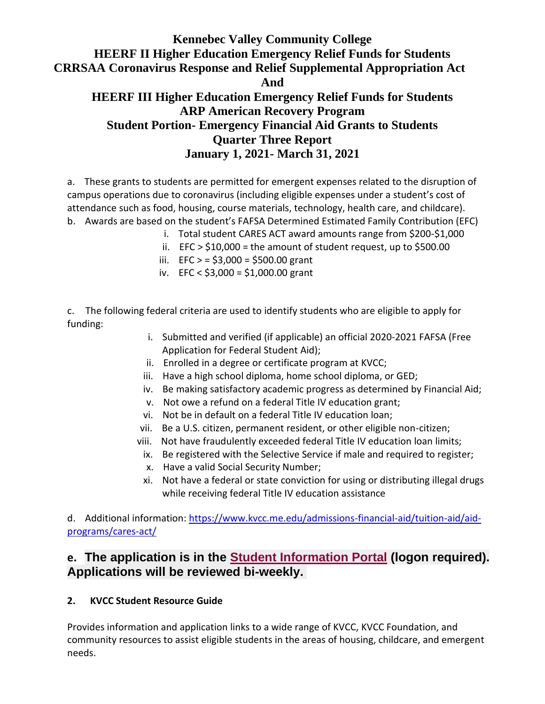a. These grants to students are permitted for emergent expenses related to the disruption of campus operations due to coronavirus (including eligible expenses under a student's cost of attendance such as food, housing, course materials, technology, health care, and childcare). b. Awards are based on the student's FAFSA Determined Estimated Family Contribution (EFC)

- i. Total student CARES ACT award amounts range from \$200-\$1,000
	- ii.  $EFC > $10,000 =$  the amount of student request, up to \$500.00
- iii. EFC  $> = $3,000 = $500.00$  grant
- iv. EFC < \$3,000 = \$1,000.00 grant

c. The following federal criteria are used to identify students who are eligible to apply for funding:

- i. Submitted and verified (if applicable) an official 2020-2021 FAFSA (Free Application for Federal Student Aid);
- ii. Enrolled in a degree or certificate program at KVCC;
- iii. Have a high school diploma, home school diploma, or GED;
- iv. Be making satisfactory academic progress as determined by Financial Aid;
- v. Not owe a refund on a federal Title IV education grant;
- vi. Not be in default on a federal Title IV education loan;
- vii. Be a U.S. citizen, permanent resident, or other eligible non-citizen;
- viii. Not have fraudulently exceeded federal Title IV education loan limits;
- ix. Be registered with the Selective Service if male and required to register;
- x. Have a valid Social Security Number;
- xi. Not have a federal or state conviction for using or distributing illegal drugs while receiving federal Title IV education assistance

d. Additional information: [https://www.kvcc.me.edu/admissions-financial-aid/tuition-aid/aid](https://nam11.safelinks.protection.outlook.com/?url=https%3A%2F%2Fwww.kvcc.me.edu%2Fadmissions-financial-aid%2Ftuition-aid%2Faid-programs%2Fcares-act%2F&data=04%7C01%7CMWebb%40kvcc.me.edu%7C090e358599fd407f59fa08d8bca08cf4%7C25eb78d160a04eb4aa539f80c186b3e5%7C0%7C0%7C637466745049913430%7CUnknown%7CTWFpbGZsb3d8eyJWIjoiMC4wLjAwMDAiLCJQIjoiV2luMzIiLCJBTiI6Ik1haWwiLCJXVCI6Mn0%3D%7C1000&sdata=KoaBCBRVlDSi0z85X%2FOrEhIqVOH6bqZuAABHb%2B72xiY%3D&reserved=0)[programs/cares-act/](https://nam11.safelinks.protection.outlook.com/?url=https%3A%2F%2Fwww.kvcc.me.edu%2Fadmissions-financial-aid%2Ftuition-aid%2Faid-programs%2Fcares-act%2F&data=04%7C01%7CMWebb%40kvcc.me.edu%7C090e358599fd407f59fa08d8bca08cf4%7C25eb78d160a04eb4aa539f80c186b3e5%7C0%7C0%7C637466745049913430%7CUnknown%7CTWFpbGZsb3d8eyJWIjoiMC4wLjAwMDAiLCJQIjoiV2luMzIiLCJBTiI6Ik1haWwiLCJXVCI6Mn0%3D%7C1000&sdata=KoaBCBRVlDSi0z85X%2FOrEhIqVOH6bqZuAABHb%2B72xiY%3D&reserved=0)

## **e. The application is in the [Student Information Portal](https://nam11.safelinks.protection.outlook.com/?url=https%3A%2F%2Fmy.kvcc.me.edu%2FICS%2F(DEV)_Finances%2FCARES_Act_Emergency_Funds_Request.jnz&data=04%7C01%7CMWebb%40kvcc.me.edu%7C090e358599fd407f59fa08d8bca08cf4%7C25eb78d160a04eb4aa539f80c186b3e5%7C0%7C0%7C637466745049913430%7CUnknown%7CTWFpbGZsb3d8eyJWIjoiMC4wLjAwMDAiLCJQIjoiV2luMzIiLCJBTiI6Ik1haWwiLCJXVCI6Mn0%3D%7C1000&sdata=8yYRMv9StXZuLzXH9kfYaLkbyaGr9DMnjZq%2Boi1Qq%2B8%3D&reserved=0) (logon required). Applications will be reviewed bi-weekly.**

### **2. KVCC Student Resource Guide**

Provides information and application links to a wide range of KVCC, KVCC Foundation, and community resources to assist eligible students in the areas of housing, childcare, and emergent needs.